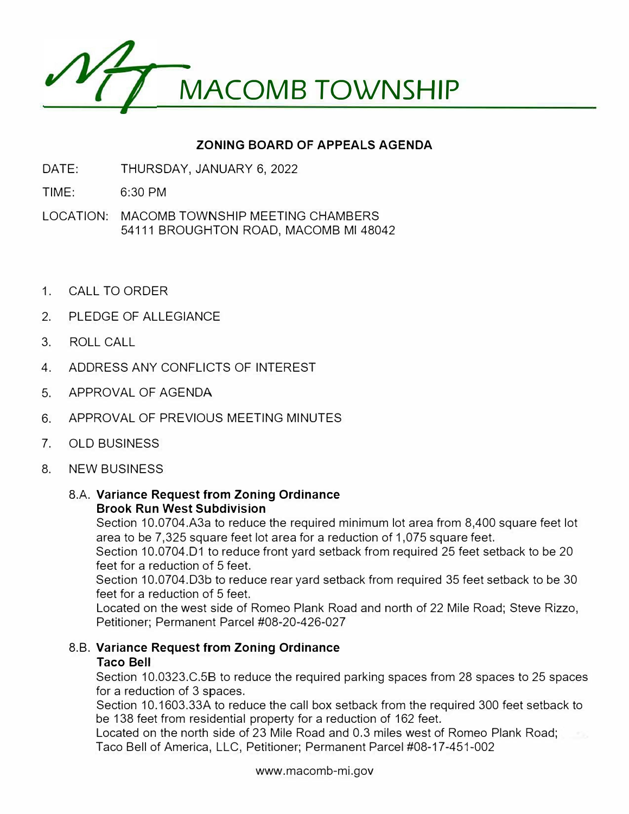

## **ZONING BOARD OF APPEALS AGENDA**

- DATE: THURSDAY, JANUARY 6, 2022
- TIME: 6:30 PM
- LOCATION: MACOMB TOWNSHIP MEETING CHAMBERS 54111 BROUGHTON ROAD, MACOMB Ml 48042
- 1. CALL TO ORDER
- 2. PLEDGE OF ALLEGIANCE
- 3. ROLL CALL
- 4. ADDRESS ANY CONFLICTS OF INTEREST
- 5. APPROVAL OF AGENDA
- 6. APPROVAL OF PREVIOUS MEETING MINUTES
- 7. OLD BUSINESS
- 8. NEW BUSINESS

## **8.A. Variance Request from Zoning Ordinance Brook Run West Subdivision**

Section 10.0704.A3a to reduce the required minimum lot area from 8,400 square feet lot area to be 7,325 square feet lot area for a reduction of 1,075 square feet.

Section 10.0704.D1 to reduce front yard setback from required 25 feet setback to be 20 feet for a reduction of 5 feet.

Section 10.0704.D3b to reduce rear yard setback from required 35 feet setback to be 30 feet for a reduction of 5 feet.

Located on the west side of Romeo Plank Road and north of 22 Mile Road; Steve Rizzo, Petitioner; Permanent Parcel #08-20-426-027

## 8.B. **Variance Request from Zoning Ordinance Taco Bell**

Section 10.0323.C.58 to reduce the required parking spaces from 28 spaces to 25 spaces for a reduction of 3 spaces.

Section 10.1603.33A to reduce the call box setback from the required 300 feet setback to be 138 feet from residential property for a reduction of 162 feet.

Located on the north side of 23 Mile Road and 0.3 miles west of Romeo Plank Road; Taco Bell of America, LLC, Petitioner; Permanent Parcel #08-17-451-002